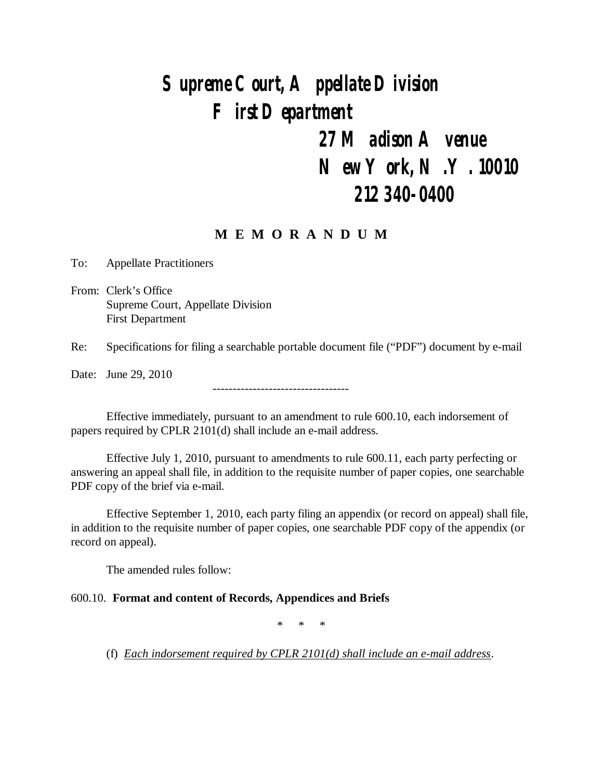# *Supreme Court, Appellate Division First Department*

## *27 Madison Avenue New York, N.Y. 10010 212 340-0400*

## **M E M O R A N D U M**

To: Appellate Practitioners

From: Clerk's Office Supreme Court, Appellate Division First Department

Re: Specifications for filing a searchable portable document file ("PDF") document by e-mail

Date: June 29, 2010

Effective immediately, pursuant to an amendment to rule 600.10, each indorsement of papers required by CPLR 2101(d) shall include an e-mail address.

----------------------------------

Effective July 1, 2010, pursuant to amendments to rule 600.11, each party perfecting or answering an appeal shall file, in addition to the requisite number of paper copies, one searchable PDF copy of the brief via e-mail.

Effective September 1, 2010, each party filing an appendix (or record on appeal) shall file, in addition to the requisite number of paper copies, one searchable PDF copy of the appendix (or record on appeal).

The amended rules follow:

#### 600.10. **Format and content of Records, Appendices and Briefs**

\* \* \*

(f) *Each indorsement required by CPLR 2101(d) shall include an e-mail address*.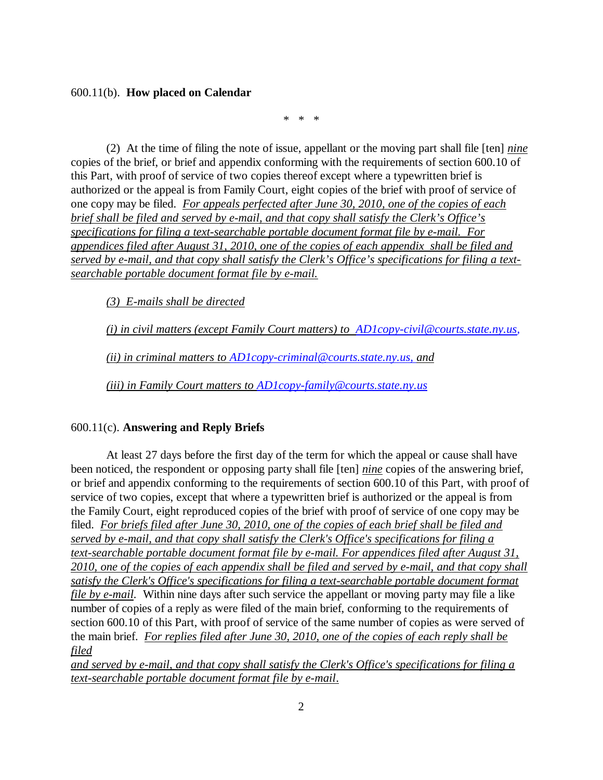#### 600.11(b). **How placed on Calendar**

\* \* \*

(2) At the time of filing the note of issue, appellant or the moving part shall file [ten] *nine* copies of the brief, or brief and appendix conforming with the requirements of section 600.10 of this Part, with proof of service of two copies thereof except where a typewritten brief is authorized or the appeal is from Family Court, eight copies of the brief with proof of service of one copy may be filed. *For appeals perfected after June 30, 2010, one of the copies of each brief shall be filed and served by e-mail, and that copy shall satisfy the Clerk's Office's specifications for filing a text-searchable portable document format file by e-mail. For appendices filed after August 31, 2010, one of the copies of each appendix shall be filed and served by e-mail, and that copy shall satisfy the Clerk's Office's specifications for filing a textsearchable portable document format file by e-mail.*

*(3) E-mails shall be directed*

*(i) in civil matters (except Family Court matters) to AD1copy-civil@courts.state.ny.us,*

*(ii) in criminal matters to AD1copy-criminal@courts.state.ny.us, and*

*(iii) in Family Court matters to AD1copy-family@courts.state.ny.us*

#### 600.11(c). **Answering and Reply Briefs**

At least 27 days before the first day of the term for which the appeal or cause shall have been noticed, the respondent or opposing party shall file [ten] *nine* copies of the answering brief, or brief and appendix conforming to the requirements of section 600.10 of this Part, with proof of service of two copies, except that where a typewritten brief is authorized or the appeal is from the Family Court, eight reproduced copies of the brief with proof of service of one copy may be filed. *For briefs filed after June 30, 2010, one of the copies of each brief shall be filed and served by e-mail, and that copy shall satisfy the Clerk's Office's specifications for filing a text-searchable portable document format file by e-mail. For appendices filed after August 31, 2010, one of the copies of each appendix shall be filed and served by e-mail, and that copy shall satisfy the Clerk's Office's specifications for filing a text-searchable portable document format file by e-mail.* Within nine days after such service the appellant or moving party may file a like number of copies of a reply as were filed of the main brief, conforming to the requirements of section 600.10 of this Part, with proof of service of the same number of copies as were served of the main brief. *For replies filed after June 30, 2010, one of the copies of each reply shall be filed*

*and served by e-mail, and that copy shall satisfy the Clerk's Office's specifications for filing a text-searchable portable document format file by e-mail*.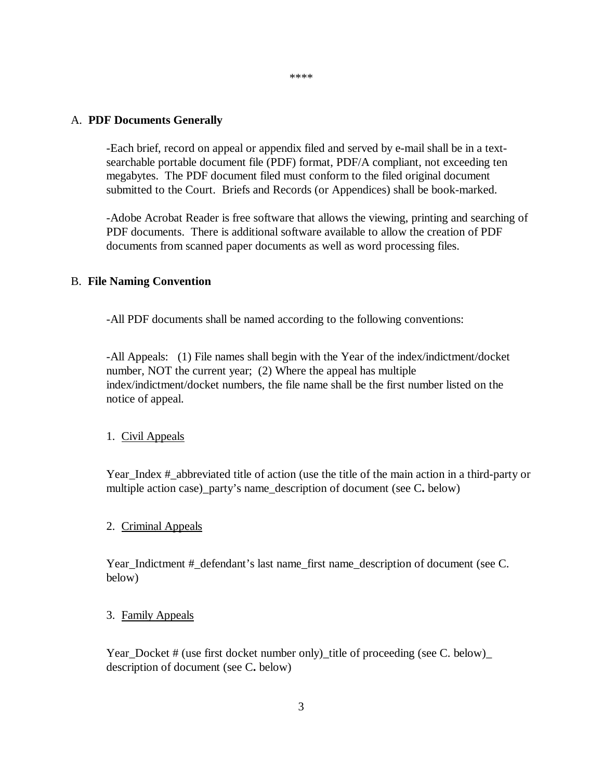#### \*\*\*\*

#### A. **PDF Documents Generally**

-Each brief, record on appeal or appendix filed and served by e-mail shall be in a textsearchable portable document file (PDF) format, PDF/A compliant, not exceeding ten megabytes. The PDF document filed must conform to the filed original document submitted to the Court. Briefs and Records (or Appendices) shall be book-marked.

-Adobe Acrobat Reader is free software that allows the viewing, printing and searching of PDF documents. There is additional software available to allow the creation of PDF documents from scanned paper documents as well as word processing files.

#### B. **File Naming Convention**

-All PDF documents shall be named according to the following conventions:

-All Appeals: (1) File names shall begin with the Year of the index/indictment/docket number, NOT the current year; (2) Where the appeal has multiple index/indictment/docket numbers, the file name shall be the first number listed on the notice of appeal.

#### 1. Civil Appeals

Year\_Index #\_abbreviated title of action (use the title of the main action in a third-party or multiple action case) party's name description of document (see C. below)

#### 2. Criminal Appeals

Year\_Indictment #\_defendant's last name\_first name\_description of document (see C. below)

#### 3. Family Appeals

Year\_Docket # (use first docket number only)\_title of proceeding (see C. below) description of document (see C**.** below)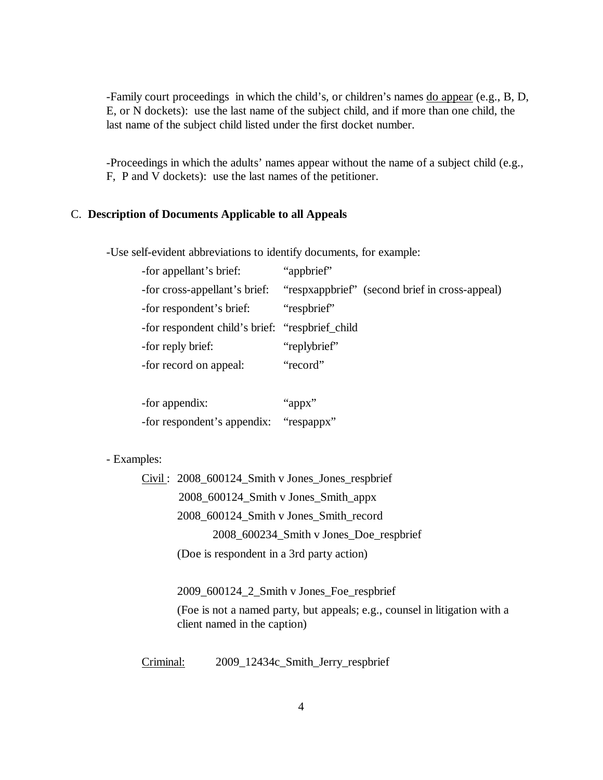-Family court proceedings in which the child's, or children's names do appear (e.g., B, D, E, or N dockets): use the last name of the subject child, and if more than one child, the last name of the subject child listed under the first docket number.

-Proceedings in which the adults' names appear without the name of a subject child (e.g., F, P and V dockets): use the last names of the petitioner.

#### C. **Description of Documents Applicable to all Appeals**

-Use self-evident abbreviations to identify documents, for example:

| -for appellant's brief:                          | "appbrief"                                     |
|--------------------------------------------------|------------------------------------------------|
| -for cross-appellant's brief:                    | "respxappbrief" (second brief in cross-appeal) |
| -for respondent's brief:                         | "respbrief"                                    |
| -for respondent child's brief: "respbrief_child" |                                                |
| -for reply brief:                                | "replybrief"                                   |
| -for record on appeal:                           | "record"                                       |
|                                                  |                                                |

| -for appendix:                         | "appx" |
|----------------------------------------|--------|
| -for respondent's appendix: "respappx" |        |

#### - Examples:

Civil : 2008\_600124\_Smith v Jones\_Jones\_respbrief 2008\_600124\_Smith v Jones\_Smith\_appx 2008\_600124\_Smith v Jones\_Smith\_record 2008\_600234\_Smith v Jones\_Doe\_respbrief (Doe is respondent in a 3rd party action)

2009\_600124\_2\_Smith v Jones\_Foe\_respbrief

(Foe is not a named party, but appeals; e.g., counsel in litigation with a client named in the caption)

Criminal: 2009 12434c Smith Jerry respbrief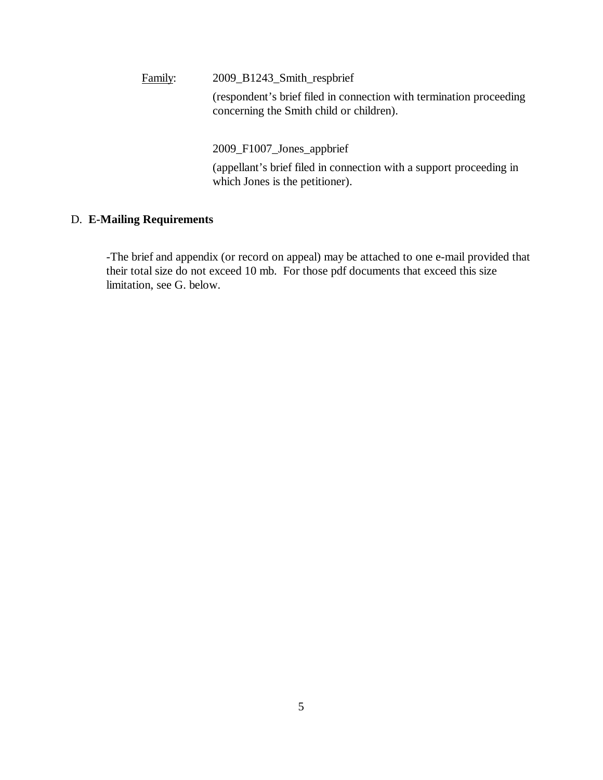Family: 2009\_B1243\_Smith\_respbrief

(respondent's brief filed in connection with termination proceeding concerning the Smith child or children).

2009\_F1007\_Jones\_appbrief

(appellant's brief filed in connection with a support proceeding in which Jones is the petitioner).

### D. **E-Mailing Requirements**

-The brief and appendix (or record on appeal) may be attached to one e-mail provided that their total size do not exceed 10 mb. For those pdf documents that exceed this size limitation, see G. below.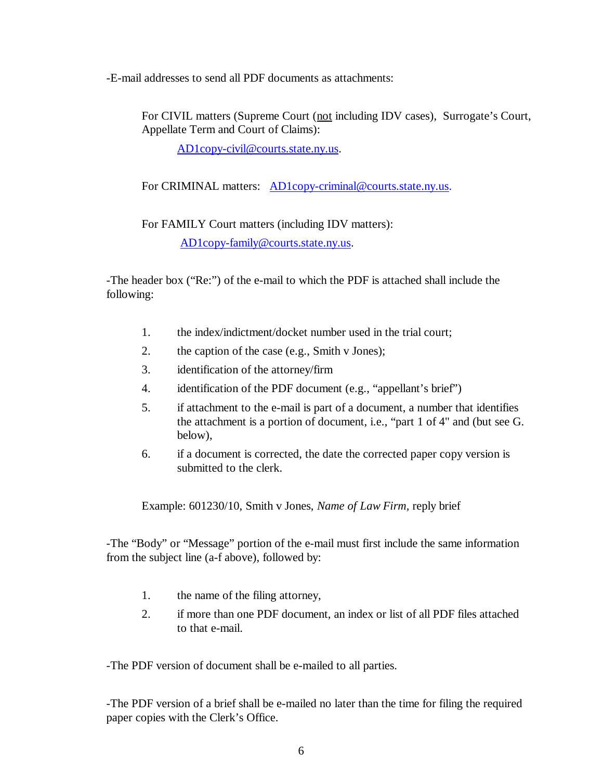-E-mail addresses to send all PDF documents as attachments:

For CIVIL matters (Supreme Court (not including IDV cases), Surrogate's Court, Appellate Term and Court of Claims):

AD1copy-civil@courts.state.ny.us.

For CRIMINAL matters: AD1copy-criminal@courts.state.ny.us.

For FAMILY Court matters (including IDV matters):

AD1copy-family@courts.state.ny.us.

-The header box ("Re:") of the e-mail to which the PDF is attached shall include the following:

- 1. the index/indictment/docket number used in the trial court;
- 2. the caption of the case (e.g., Smith v Jones);
- 3. identification of the attorney/firm
- 4. identification of the PDF document (e.g., "appellant's brief")
- 5. if attachment to the e-mail is part of a document, a number that identifies the attachment is a portion of document, i.e., "part 1 of 4" and (but see G. below),
- 6. if a document is corrected, the date the corrected paper copy version is submitted to the clerk.

Example: 601230/10, Smith v Jones, *Name of Law Firm,* reply brief

-The "Body" or "Message" portion of the e-mail must first include the same information from the subject line (a-f above), followed by:

- 1. the name of the filing attorney,
- 2. if more than one PDF document, an index or list of all PDF files attached to that e-mail.

-The PDF version of document shall be e-mailed to all parties.

-The PDF version of a brief shall be e-mailed no later than the time for filing the required paper copies with the Clerk's Office.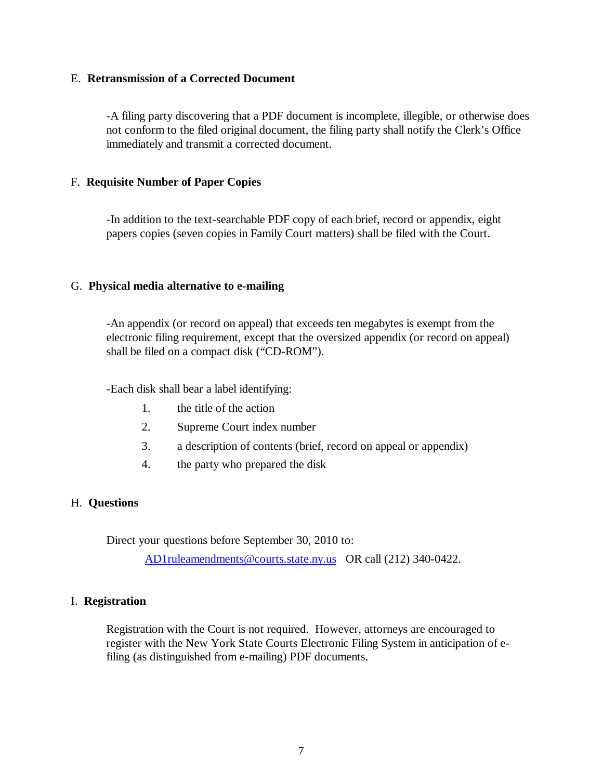#### E. **Retransmission of a Corrected Document**

-A filing party discovering that a PDF document is incomplete, illegible, or otherwise does not conform to the filed original document, the filing party shall notify the Clerk's Office immediately and transmit a corrected document.

### F. **Requisite Number of Paper Copies**

-In addition to the text-searchable PDF copy of each brief, record or appendix, eight papers copies (seven copies in Family Court matters) shall be filed with the Court.

#### G. **Physical media alternative to e-mailing**

-An appendix (or record on appeal) that exceeds ten megabytes is exempt from the electronic filing requirement, except that the oversized appendix (or record on appeal) shall be filed on a compact disk ("CD-ROM").

-Each disk shall bear a label identifying:

- 1. the title of the action
- 2. Supreme Court index number
- 3. a description of contents (brief, record on appeal or appendix)
- 4. the party who prepared the disk

#### H. **Questions**

Direct your questions before September 30, 2010 to:

AD1ruleamendments@courts.state.ny.us OR call (212) 340-0422.

#### I. **Registration**

Registration with the Court is not required. However, attorneys are encouraged to register with the New York State Courts Electronic Filing System in anticipation of efiling (as distinguished from e-mailing) PDF documents.